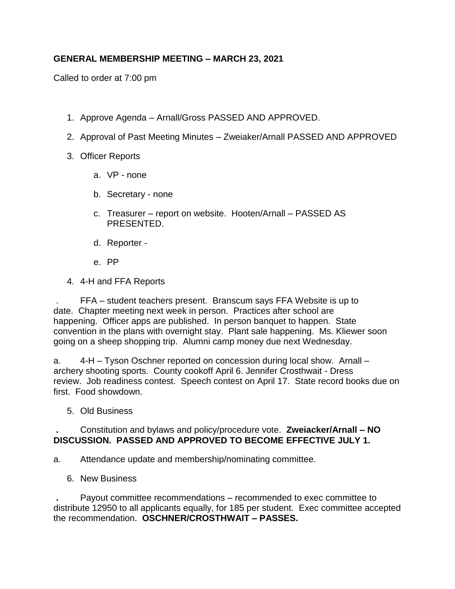## **GENERAL MEMBERSHIP MEETING – MARCH 23, 2021**

Called to order at 7:00 pm

- 1. Approve Agenda Arnall/Gross PASSED AND APPROVED.
- 2. Approval of Past Meeting Minutes Zweiaker/Arnall PASSED AND APPROVED
- 3. Officer Reports
	- a. VP none
	- b. Secretary none
	- c. Treasurer report on website. Hooten/Arnall PASSED AS PRESENTED.
	- d. Reporter -
	- e. PP
- 4. 4-H and FFA Reports

. FFA – student teachers present. Branscum says FFA Website is up to date. Chapter meeting next week in person. Practices after school are happening. Officer apps are published. In person banquet to happen. State convention in the plans with overnight stay. Plant sale happening. Ms. Kliewer soon going on a sheep shopping trip. Alumni camp money due next Wednesday.

a. 4-H – Tyson Oschner reported on concession during local show. Arnall – archery shooting sports. County cookoff April 6. Jennifer Crosthwait - Dress review. Job readiness contest. Speech contest on April 17. State record books due on first. Food showdown.

5. Old Business

## **.** Constitution and bylaws and policy/procedure vote. **Zweiacker/Arnall – NO DISCUSSION. PASSED AND APPROVED TO BECOME EFFECTIVE JULY 1.**

a. Attendance update and membership/nominating committee.

6. New Business

**.** Payout committee recommendations – recommended to exec committee to distribute 12950 to all applicants equally, for 185 per student. Exec committee accepted the recommendation. **OSCHNER/CROSTHWAIT – PASSES.**